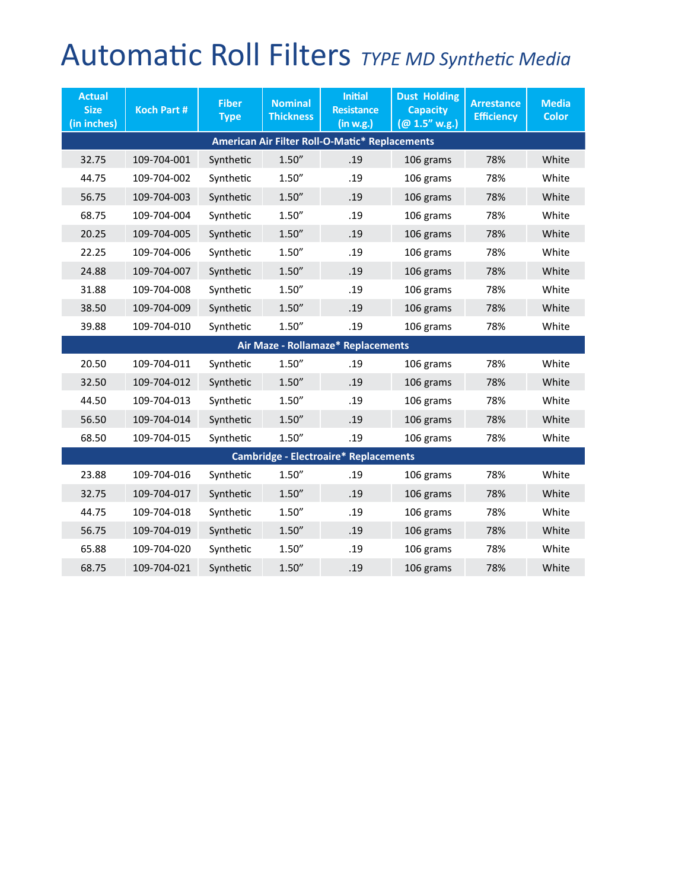## Automatic Roll Filters *TYPE MD Synthetic Media*

| <b>Actual</b><br><b>Size</b><br>(in inches)    | <b>Koch Part #</b> | <b>Fiber</b><br><b>Type</b> | <b>Nominal</b><br><b>Thickness</b> | <b>Initial</b><br><b>Resistance</b><br>(in w.g.) | <b>Dust Holding</b><br><b>Capacity</b><br>(Q 1.5'' w.g.) | <b>Arrestance</b><br><b>Efficiency</b> | <b>Media</b><br><b>Color</b> |  |  |
|------------------------------------------------|--------------------|-----------------------------|------------------------------------|--------------------------------------------------|----------------------------------------------------------|----------------------------------------|------------------------------|--|--|
| American Air Filter Roll-O-Matic* Replacements |                    |                             |                                    |                                                  |                                                          |                                        |                              |  |  |
| 32.75                                          | 109-704-001        | Synthetic                   | 1.50''                             | .19                                              | 106 grams                                                | 78%                                    | White                        |  |  |
| 44.75                                          | 109-704-002        | Synthetic                   | 1.50''                             | .19                                              | 106 grams                                                | 78%                                    | White                        |  |  |
| 56.75                                          | 109-704-003        | Synthetic                   | 1.50''                             | .19                                              | 106 grams                                                | 78%                                    | White                        |  |  |
| 68.75                                          | 109-704-004        | Synthetic                   | 1.50''                             | .19                                              | 106 grams                                                | 78%                                    | White                        |  |  |
| 20.25                                          | 109-704-005        | Synthetic                   | 1.50''                             | .19                                              | 106 grams                                                | 78%                                    | White                        |  |  |
| 22.25                                          | 109-704-006        | Synthetic                   | 1.50''                             | .19                                              | 106 grams                                                | 78%                                    | White                        |  |  |
| 24.88                                          | 109-704-007        | Synthetic                   | 1.50''                             | .19                                              | 106 grams                                                | 78%                                    | White                        |  |  |
| 31.88                                          | 109-704-008        | Synthetic                   | 1.50''                             | .19                                              | 106 grams                                                | 78%                                    | White                        |  |  |
| 38.50                                          | 109-704-009        | Synthetic                   | 1.50''                             | .19                                              | 106 grams                                                | 78%                                    | White                        |  |  |
| 39.88                                          | 109-704-010        | Synthetic                   | 1.50''                             | .19                                              | 106 grams                                                | 78%                                    | White                        |  |  |
|                                                |                    |                             |                                    | Air Maze - Rollamaze* Replacements               |                                                          |                                        |                              |  |  |
| 20.50                                          | 109-704-011        | Synthetic                   | 1.50''                             | .19                                              | 106 grams                                                | 78%                                    | White                        |  |  |
| 32.50                                          | 109-704-012        | Synthetic                   | 1.50''                             | .19                                              | 106 grams                                                | 78%                                    | White                        |  |  |
| 44.50                                          | 109-704-013        | Synthetic                   | 1.50''                             | .19                                              | 106 grams                                                | 78%                                    | White                        |  |  |
| 56.50                                          | 109-704-014        | Synthetic                   | 1.50''                             | .19                                              | 106 grams                                                | 78%                                    | White                        |  |  |
| 68.50                                          | 109-704-015        | Synthetic                   | 1.50''                             | .19                                              | 106 grams                                                | 78%                                    | White                        |  |  |
| <b>Cambridge - Electroaire* Replacements</b>   |                    |                             |                                    |                                                  |                                                          |                                        |                              |  |  |
| 23.88                                          | 109-704-016        | Synthetic                   | 1.50''                             | .19                                              | 106 grams                                                | 78%                                    | White                        |  |  |
| 32.75                                          | 109-704-017        | Synthetic                   | 1.50''                             | .19                                              | 106 grams                                                | 78%                                    | White                        |  |  |
| 44.75                                          | 109-704-018        | Synthetic                   | 1.50''                             | .19                                              | 106 grams                                                | 78%                                    | White                        |  |  |
| 56.75                                          | 109-704-019        | Synthetic                   | 1.50''                             | .19                                              | 106 grams                                                | 78%                                    | White                        |  |  |
| 65.88                                          | 109-704-020        | Synthetic                   | 1.50''                             | .19                                              | 106 grams                                                | 78%                                    | White                        |  |  |
| 68.75                                          | 109-704-021        | Synthetic                   | 1.50''                             | .19                                              | 106 grams                                                | 78%                                    | White                        |  |  |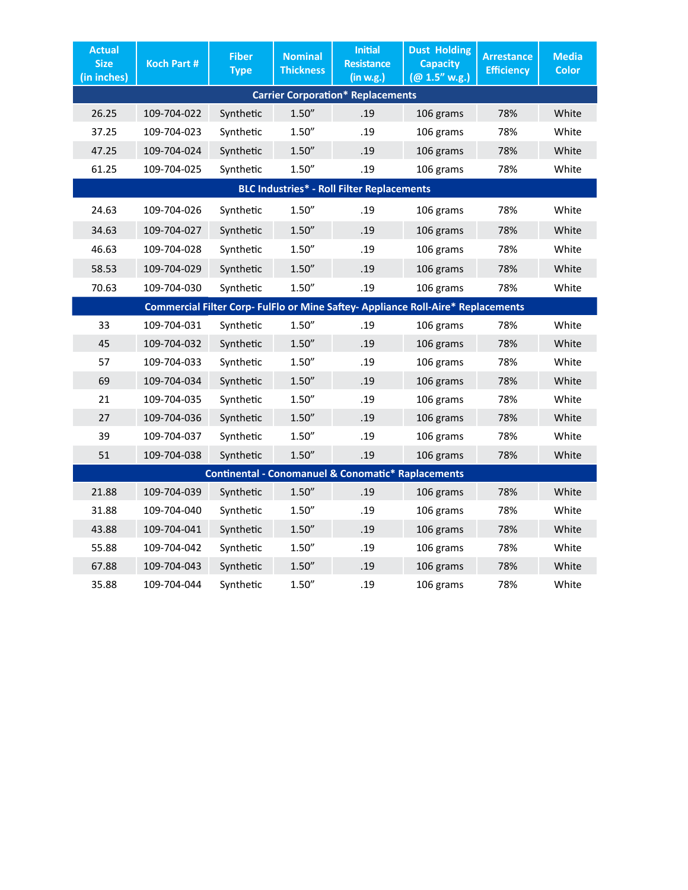| <b>Actual</b><br><b>Size</b><br>(in inches)                                      | <b>Koch Part #</b> | <b>Fiber</b><br><b>Type</b> | <b>Nominal</b><br><b>Thickness</b> | <b>Initial</b><br><b>Resistance</b><br>(in w.g.) | <b>Dust Holding</b><br><b>Capacity</b><br>(Q0 1.5" w.g.) | <b>Arrestance</b><br><b>Efficiency</b> | <b>Media</b><br><b>Color</b> |  |  |
|----------------------------------------------------------------------------------|--------------------|-----------------------------|------------------------------------|--------------------------------------------------|----------------------------------------------------------|----------------------------------------|------------------------------|--|--|
| <b>Carrier Corporation* Replacements</b>                                         |                    |                             |                                    |                                                  |                                                          |                                        |                              |  |  |
| 26.25                                                                            | 109-704-022        | Synthetic                   | 1.50''                             | .19                                              | 106 grams                                                | 78%                                    | White                        |  |  |
| 37.25                                                                            | 109-704-023        | Synthetic                   | 1.50''                             | .19                                              | 106 grams                                                | 78%                                    | White                        |  |  |
| 47.25                                                                            | 109-704-024        | Synthetic                   | 1.50''                             | .19                                              | 106 grams                                                | 78%                                    | White                        |  |  |
| 61.25                                                                            | 109-704-025        | Synthetic                   | 1.50''                             | .19                                              | 106 grams                                                | 78%                                    | White                        |  |  |
| <b>BLC Industries* - Roll Filter Replacements</b>                                |                    |                             |                                    |                                                  |                                                          |                                        |                              |  |  |
| 24.63                                                                            | 109-704-026        | Synthetic                   | 1.50''                             | .19                                              | 106 grams                                                | 78%                                    | White                        |  |  |
| 34.63                                                                            | 109-704-027        | Synthetic                   | 1.50''                             | .19                                              | 106 grams                                                | 78%                                    | White                        |  |  |
| 46.63                                                                            | 109-704-028        | Synthetic                   | 1.50''                             | .19                                              | 106 grams                                                | 78%                                    | White                        |  |  |
| 58.53                                                                            | 109-704-029        | Synthetic                   | 1.50''                             | .19                                              | 106 grams                                                | 78%                                    | White                        |  |  |
| 70.63                                                                            | 109-704-030        | Synthetic                   | 1.50''                             | .19                                              | 106 grams                                                | 78%                                    | White                        |  |  |
| Commercial Filter Corp- FulFlo or Mine Saftey- Appliance Roll-Aire* Replacements |                    |                             |                                    |                                                  |                                                          |                                        |                              |  |  |
| 33                                                                               | 109-704-031        | Synthetic                   | 1.50''                             | .19                                              | 106 grams                                                | 78%                                    | White                        |  |  |
| 45                                                                               | 109-704-032        | Synthetic                   | 1.50''                             | .19                                              | 106 grams                                                | 78%                                    | White                        |  |  |
| 57                                                                               | 109-704-033        | Synthetic                   | 1.50''                             | .19                                              | 106 grams                                                | 78%                                    | White                        |  |  |
| 69                                                                               | 109-704-034        | Synthetic                   | 1.50''                             | .19                                              | 106 grams                                                | 78%                                    | White                        |  |  |
| 21                                                                               | 109-704-035        | Synthetic                   | 1.50''                             | .19                                              | 106 grams                                                | 78%                                    | White                        |  |  |
| 27                                                                               | 109-704-036        | Synthetic                   | 1.50''                             | .19                                              | 106 grams                                                | 78%                                    | White                        |  |  |
| 39                                                                               | 109-704-037        | Synthetic                   | 1.50''                             | .19                                              | 106 grams                                                | 78%                                    | White                        |  |  |
| 51                                                                               | 109-704-038        | Synthetic                   | 1.50''                             | .19                                              | 106 grams                                                | 78%                                    | White                        |  |  |
| <b>Continental - Conomanuel &amp; Conomatic* Raplacements</b>                    |                    |                             |                                    |                                                  |                                                          |                                        |                              |  |  |
| 21.88                                                                            | 109-704-039        | Synthetic                   | 1.50''                             | .19                                              | 106 grams                                                | 78%                                    | White                        |  |  |
| 31.88                                                                            | 109-704-040        | Synthetic                   | 1.50''                             | .19                                              | 106 grams                                                | 78%                                    | White                        |  |  |
| 43.88                                                                            | 109-704-041        | Synthetic                   | 1.50''                             | .19                                              | 106 grams                                                | 78%                                    | White                        |  |  |
| 55.88                                                                            | 109-704-042        | Synthetic                   | 1.50''                             | .19                                              | 106 grams                                                | 78%                                    | White                        |  |  |
| 67.88                                                                            | 109-704-043        | Synthetic                   | 1.50''                             | .19                                              | 106 grams                                                | 78%                                    | White                        |  |  |
| 35.88                                                                            | 109-704-044        | Synthetic                   | 1.50''                             | .19                                              | 106 grams                                                | 78%                                    | White                        |  |  |